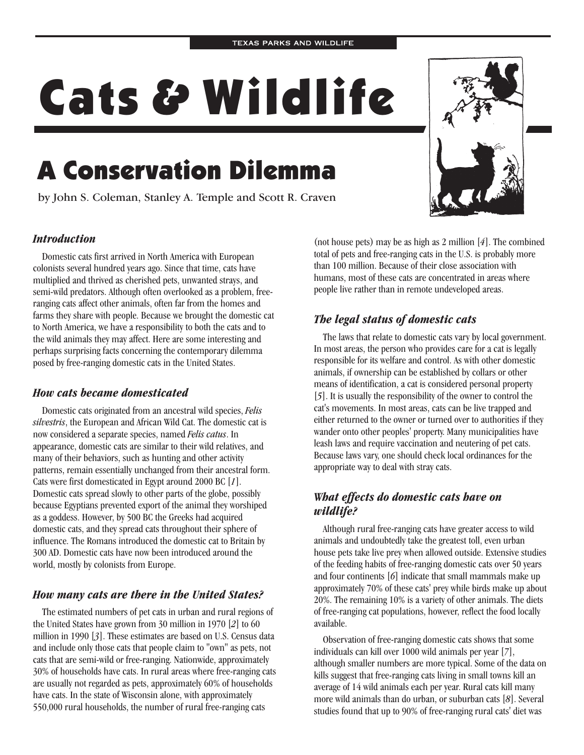# Cats & Wildlife

## A Conservation Dilemma

by John S. Coleman, Stanley A. Temple and Scott R. Craven



#### *Introduction*

Domestic cats first arrived in North America with European colonists several hundred years ago. Since that time, cats have multiplied and thrived as cherished pets, unwanted strays, and semi-wild predators. Although often overlooked as a problem, freeranging cats affect other animals, often far from the homes and farms they share with people. Because we brought the domestic cat to North America, we have a responsibility to both the cats and to the wild animals they may affect. Here are some interesting and perhaps surprising facts concerning the contemporary dilemma posed by free-ranging domestic cats in the United States.

#### *How cats became domesticated*

Domestic cats originated from an ancestral wild species, *Felis* silvestris, the European and African Wild Cat. The domestic cat is now considered a separate species, named Felis catus. In appearance, domestic cats are similar to their wild relatives, and many of their behaviors, such as hunting and other activity patterns, remain essentially unchanged from their ancestral form. Cats were first domesticated in Egypt around 2000 BC [1]. Domestic cats spread slowly to other parts of the globe, possibly because Egyptians prevented export of the animal they worshiped as a goddess. However, by 500 BC the Greeks had acquired domestic cats, and they spread cats throughout their sphere of influence. The Romans introduced the domestic cat to Britain by 300 AD. Domestic cats have now been introduced around the world, mostly by colonists from Europe.

#### *How many cats are there in the United States?*

The estimated numbers of pet cats in urban and rural regions of the United States have grown from 30 million in 1970 [2] to 60 million in 1990 [3]. These estimates are based on U.S. Census data and include only those cats that people claim to "own" as pets, not cats that are semi-wild or free-ranging. Nationwide, approximately 30% of households have cats. In rural areas where free-ranging cats are usually not regarded as pets, approximately 60% of households have cats. In the state of Wisconsin alone, with approximately 550,000 rural households, the number of rural free-ranging cats

(not house pets) may be as high as  $2$  million  $[4]$ . The combined total of pets and free-ranging cats in the U.S. is probably more than 100 million. Because of their close association with humans, most of these cats are concentrated in areas where people live rather than in remote undeveloped areas.

#### *The legal status of domestic cats*

The laws that relate to domestic cats vary by local government. In most areas, the person who provides care for a cat is legally responsible for its welfare and control. As with other domestic animals, if ownership can be established by collars or other means of identification, a cat is considered personal property [5]. It is usually the responsibility of the owner to control the cat's movements. In most areas, cats can be live trapped and either returned to the owner or turned over to authorities if they wander onto other peoples' property. Many municipalities have leash laws and require vaccination and neutering of pet cats. Because laws vary, one should check local ordinances for the appropriate way to deal with stray cats.

#### *What effects do domestic cats have on wildlife?*

Although rural free-ranging cats have greater access to wild animals and undoubtedly take the greatest toll, even urban house pets take live prey when allowed outside. Extensive studies of the feeding habits of free-ranging domestic cats over 50 years and four continents [6] indicate that small mammals make up approximately 70% of these cats' prey while birds make up about 20%. The remaining 10% is a variety of other animals. The diets of free-ranging cat populations, however, reflect the food locally available.

Observation of free-ranging domestic cats shows that some individuals can kill over 1000 wild animals per year [7], although smaller numbers are more typical. Some of the data on kills suggest that free-ranging cats living in small towns kill an average of 14 wild animals each per year. Rural cats kill many more wild animals than do urban, or suburban cats [8]. Several studies found that up to 90% of free-ranging rural cats' diet was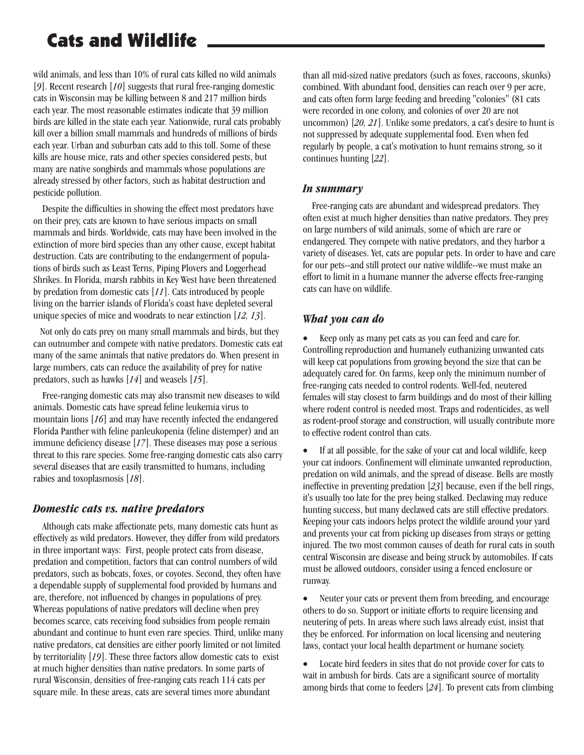### Cats and Wildlife

wild animals, and less than 10% of rural cats killed no wild animals [9]. Recent research [10] suggests that rural free-ranging domestic cats in Wisconsin may be killing between 8 and 217 million birds each year. The most reasonable estimates indicate that 39 million birds are killed in the state each year. Nationwide, rural cats probably kill over a billion small mammals and hundreds of millions of birds each year. Urban and suburban cats add to this toll. Some of these kills are house mice, rats and other species considered pests, but many are native songbirds and mammals whose populations are already stressed by other factors, such as habitat destruction and pesticide pollution.

Despite the difficulties in showing the effect most predators have on their prey, cats are known to have serious impacts on small mammals and birds. Worldwide, cats may have been involved in the extinction of more bird species than any other cause, except habitat destruction. Cats are contributing to the endangerment of populations of birds such as Least Terns, Piping Plovers and Loggerhead Shrikes. In Florida, marsh rabbits in Key West have been threatened by predation from domestic cats [11]. Cats introduced by people living on the barrier islands of Florida's coast have depleted several unique species of mice and woodrats to near extinction [12, 13].

Not only do cats prey on many small mammals and birds, but they can outnumber and compete with native predators. Domestic cats eat many of the same animals that native predators do. When present in large numbers, cats can reduce the availability of prey for native predators, such as hawks  $[14]$  and weasels  $[15]$ .

Free-ranging domestic cats may also transmit new diseases to wild animals. Domestic cats have spread feline leukemia virus to mountain lions [16] and may have recently infected the endangered Florida Panther with feline panleukopenia (feline distemper) and an immune deficiency disease [17]. These diseases may pose a serious threat to this rare species. Some free-ranging domestic cats also carry several diseases that are easily transmitted to humans, including rabies and toxoplasmosis [18].

#### *Domestic cats vs. native predators*

Although cats make affectionate pets, many domestic cats hunt as effectively as wild predators. However, they differ from wild predators in three important ways: First, people protect cats from disease, predation and competition, factors that can control numbers of wild predators, such as bobcats, foxes, or coyotes. Second, they often have a dependable supply of supplemental food provided by humans and are, therefore, not influenced by changes in populations of prey. Whereas populations of native predators will decline when prey becomes scarce, cats receiving food subsidies from people remain abundant and continue to hunt even rare species. Third, unlike many native predators, cat densities are either poorly limited or not limited by territoriality [19]. These three factors allow domestic cats to exist at much higher densities than native predators. In some parts of rural Wisconsin, densities of free-ranging cats reach 114 cats per square mile. In these areas, cats are several times more abundant

than all mid-sized native predators (such as foxes, raccoons, skunks) combined. With abundant food, densities can reach over 9 per acre, and cats often form large feeding and breeding "colonies" (81 cats were recorded in one colony, and colonies of over 20 are not uncommon) [20, 21]. Unlike some predators, a cat's desire to hunt is not suppressed by adequate supplemental food. Even when fed regularly by people, a cat's motivation to hunt remains strong, so it continues hunting [22].

#### *In summary*

Free-ranging cats are abundant and widespread predators. They often exist at much higher densities than native predators. They prey on large numbers of wild animals, some of which are rare or endangered. They compete with native predators, and they harbor a variety of diseases. Yet, cats are popular pets. In order to have and care for our pets--and still protect our native wildlife--we must make an effort to limit in a humane manner the adverse effects free-ranging cats can have on wildlife.

#### *What you can do*

Keep only as many pet cats as you can feed and care for. Controlling reproduction and humanely euthanizing unwanted cats will keep cat populations from growing beyond the size that can be adequately cared for. On farms, keep only the minimum number of free-ranging cats needed to control rodents. Well-fed, neutered females will stay closest to farm buildings and do most of their killing where rodent control is needed most. Traps and rodenticides, as well as rodent-proof storage and construction, will usually contribute more to effective rodent control than cats. ·

If at all possible, for the sake of your cat and local wildlife, keep your cat indoors. Confinement will eliminate unwanted reproduction, predation on wild animals, and the spread of disease. Bells are mostly ineffective in preventing predation [23] because, even if the bell rings, it's usually too late for the prey being stalked. Declawing may reduce hunting success, but many declawed cats are still effective predators. Keeping your cats indoors helps protect the wildlife around your yard and prevents your cat from picking up diseases from strays or getting injured. The two most common causes of death for rural cats in south central Wisconsin are disease and being struck by automobiles. If cats must be allowed outdoors, consider using a fenced enclosure or runway. ·

Neuter your cats or prevent them from breeding, and encourage others to do so. Support or initiate efforts to require licensing and neutering of pets. In areas where such laws already exist, insist that they be enforced. For information on local licensing and neutering laws, contact your local health department or humane society. ·

Locate bird feeders in sites that do not provide cover for cats to wait in ambush for birds. Cats are a significant source of mortality among birds that come to feeders [24]. To prevent cats from climbing ·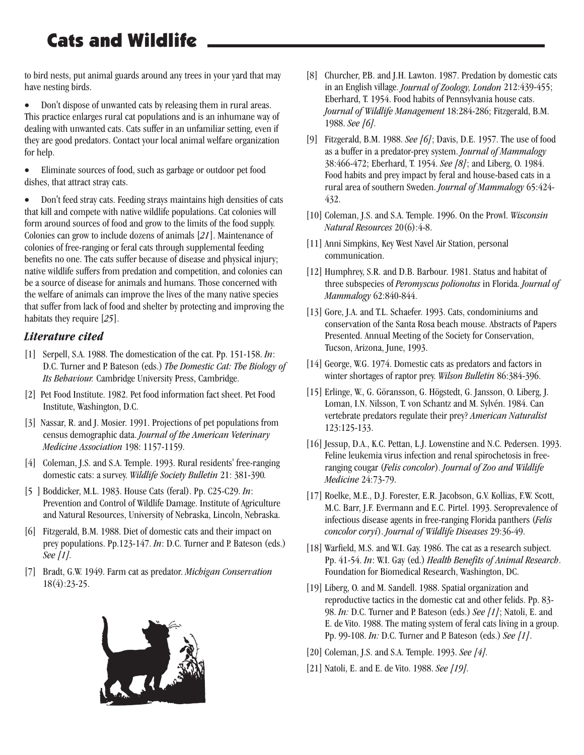## Cats and Wildlife

to bird nests, put animal guards around any trees in your yard that may have nesting birds.

Don't dispose of unwanted cats by releasing them in rural areas. This practice enlarges rural cat populations and is an inhumane way of dealing with unwanted cats. Cats suffer in an unfamiliar setting, even if they are good predators. Contact your local animal welfare organization for help. ·

Eliminate sources of food, such as garbage or outdoor pet food dishes, that attract stray cats. ·

Don't feed stray cats. Feeding strays maintains high densities of cats that kill and compete with native wildlife populations. Cat colonies will form around sources of food and grow to the limits of the food supply. Colonies can grow to include dozens of animals [21]. Maintenance of colonies of free-ranging or feral cats through supplemental feeding benefits no one. The cats suffer because of disease and physical injury; native wildlife suffers from predation and competition, and colonies can be a source of disease for animals and humans. Those concerned with the welfare of animals can improve the lives of the many native species that suffer from lack of food and shelter by protecting and improving the habitats they require [25]. ·

#### *Literature cited*

- [1] Serpell, S.A. 1988. The domestication of the cat. Pp. 151-158. *In*: D.C. Turner and P. Bateson (eds.) *The Domestic Cat: The Biology of* Its Behaviour. Cambridge University Press, Cambridge.
- [2] Pet Food Institute. 1982. Pet food information fact sheet. Pet Food Institute, Washington, D.C.
- [3] Nassar, R. and J. Mosier. 1991. Projections of pet populations from census demographic data. *Journal of the American Veterinary* 198: 1157-1159. *Medicine Association*
- [4] Coleman, J.S. and S.A. Temple. 1993. Rural residents' free-ranging domestic cats: a survey. Wildlife Society Bulletin 21: 381-390.
- [5 ] Boddicker, M.L. 1983. House Cats (feral). Pp. C25-C29. In: Prevention and Control of Wildlife Damage. Institute of Agriculture and Natural Resources, University of Nebraska, Lincoln, Nebraska.
- [6] Fitzgerald, B.M. 1988. Diet of domestic cats and their impact on prey populations. Pp.123-147. In: D.C. Turner and P. Bateson (eds.) *See [1].*
- [7] Bradt, G.W. 1949. Farm cat as predator. *Michigan Conservation* 18(4):23-25.



- [8] Churcher, P.B. and J.H. Lawton. 1987. Predation by domestic cats in an English village. *Journal of Zoology, London* 212:439-455; Eberhard, T. 1954. Food habits of Pennsylvania house cats. Journal of Wildlife Management 18:284-286; Fitzgerald, B.M. 1988. *See [6].*
- [9] Fitzgerald, B.M. 1988. See [6]; Davis, D.E. 1957. The use of food as a buffer in a predator-prey system. *Journal of Mammalogy* 38:466-472; Eberhard, T. 1954. See [8]; and Liberg, O. 1984. Food habits and prey impact by feral and house-based cats in a rural area of southern Sweden. *Journal of Mammalogy* 65:424-432.
- [10] Coleman, J.S. and S.A. Temple. 1996. On the Prowl. *Wisconsin* 20(6):4-8. *Natural Resources*
- [11] Anni Simpkins, Key West Navel Air Station, personal communication.
- [12] Humphrey, S.R. and D.B. Barbour. 1981. Status and habitat of three subspecies of Peromyscus polionotus in Florida. Journal of 62:840-844. *Mammalogy*
- [13] Gore, J.A. and T.L. Schaefer. 1993. Cats, condominiums and conservation of the Santa Rosa beach mouse. Abstracts of Papers Presented. Annual Meeting of the Society for Conservation, Tucson, Arizona, June, 1993.
- [14] George, W.G. 1974. Domestic cats as predators and factors in winter shortages of raptor prey. Wilson Bulletin 86:384-396.
- [15] Erlinge, W., G. Göransson, G. Högstedt, G. Jansson, O. Liberg, J. Loman, I.N. Nilsson, T. von Schantz and M. Sylvén. 1984. Can vertebrate predators regulate their prey? *American Naturalist* 123:125-133.
- [16] Jessup, D.A., K.C. Pettan, L.J. Lowenstine and N.C. Pedersen. 1993. Feline leukemia virus infection and renal spirochetosis in freeranging cougar (Felis concolor). Journal of Zoo and Wildlife 24:73-79. *Medicine*
- [17] Roelke, M.E., D.J. Forester, E.R. Jacobson, G.V. Kollias, F.W. Scott, M.C. Barr, J.F. Evermann and E.C. Pirtel. 1993. Seroprevalence of infectious disease agents in free-ranging Florida panthers ( *Felis* ). 29:36-49. *concolor coryi Journal of Wildlife Diseases*
- [18] Warfield, M.S. and W.I. Gay. 1986. The cat as a research subject. Pp. 41-54. In: W.I. Gay (ed.) Health Benefits of Animal Research. Foundation for Biomedical Research, Washington, DC.
- [19] Liberg, O. and M. Sandell. 1988. Spatial organization and reproductive tactics in the domestic cat and other felids. Pp. 83- 98. In: D.C. Turner and P. Bateson (eds.) See [1]; Natoli, E. and E. de Vito. 1988. The mating system of feral cats living in a group. Pp. 99-108. *In:* D.C. Turner and P. Bateson (eds.) See [1].
- [20] Coleman, J.S. and S.A. Temple. 1993. *See [4].*
- [21] Natoli, E. and E. de Vito. 1988. *See [19].*